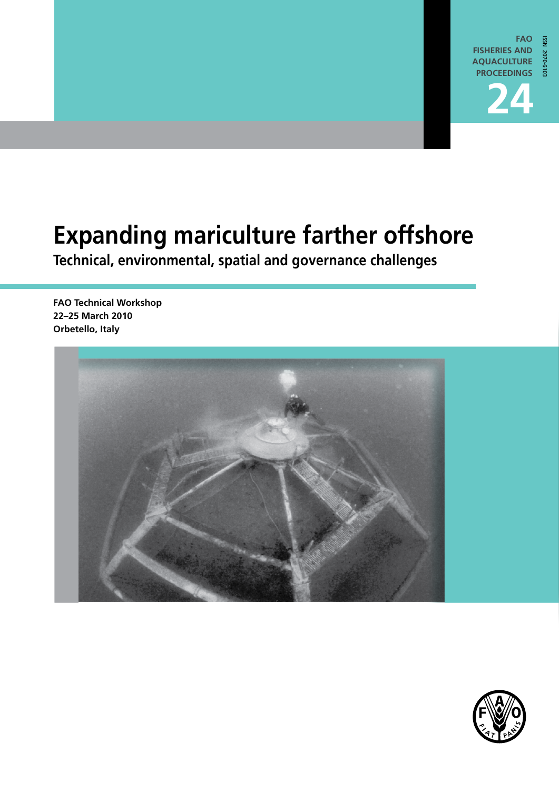

## **Expanding mariculture farther offshore**

**Technical, environmental, spatial and governance challenges** 

**FAO Technical Workshop 22–25 March 2010 Orbetello, Italy** 



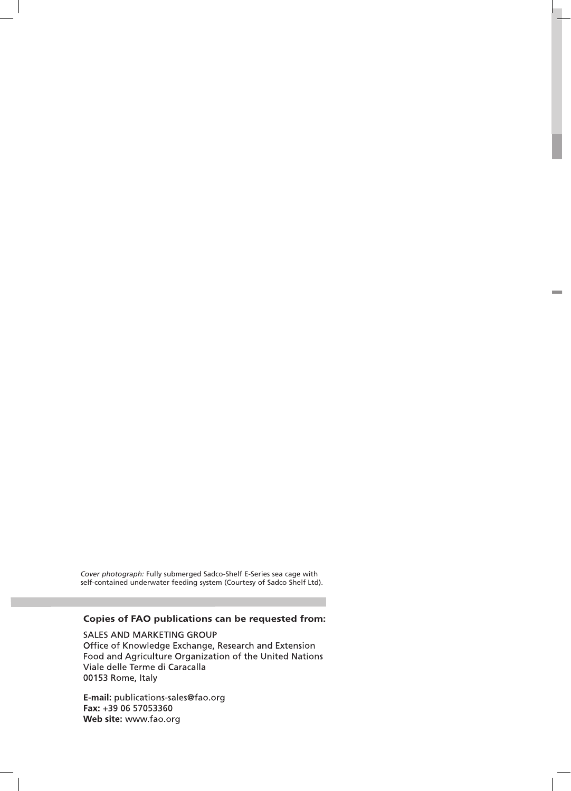*Cover photograph:* Fully submerged Sadco-Shelf E-Series sea cage with self-contained underwater feeding system (Courtesy of Sadco Shelf Ltd).

#### Copies of FAO publications can be requested from:

SALES AND MARKETING GROUP Office of Knowledge Exchange, Research and Extension Food and Agriculture Organization of the United Nations Viale delle Terme di Caracalla 00153 Rome, Italy

E-mail: publications-sales@fao.org Fax: +39 06 57053360 Web site: www.fao.org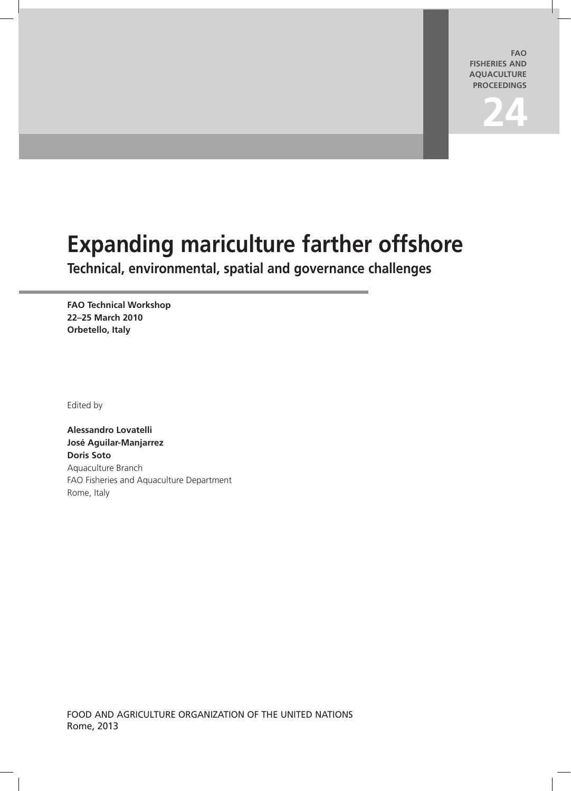**FAO FISHERIES and aquaculture PROCEEDINGS**

# **24**

## **Expanding mariculture farther offshore**

**Technical, environmental, spatial and governance challenges** 

**FAO Technical Workshop 22–25 March 2010 Orbetello, Italy**

Edited by

**Alessandro Lovatelli José Aguilar-Manjarrez Doris Soto** Aquaculture Branch FAO Fisheries and Aquaculture Department Rome, Italy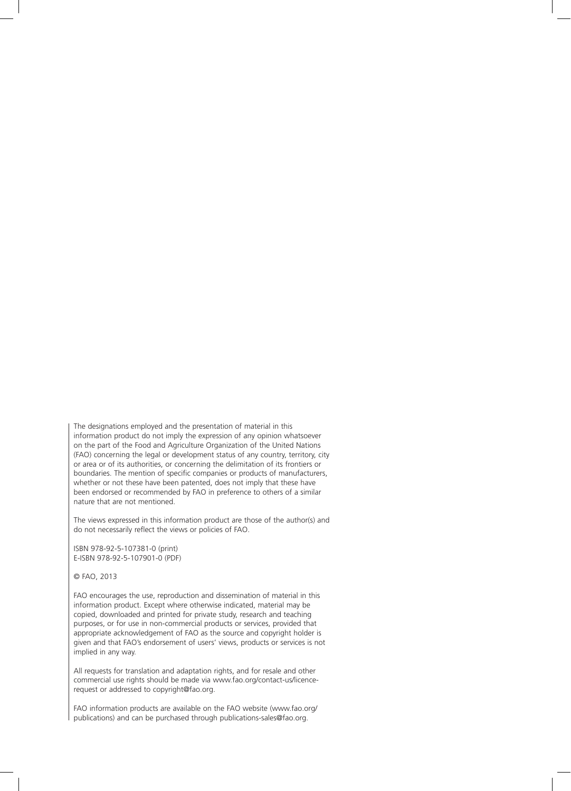The designations employed and the presentation of material in this information product do not imply the expression of any opinion whatsoever on the part of the Food and Agriculture Organization of the United Nations (FAO) concerning the legal or development status of any country, territory, city or area or of its authorities, or concerning the delimitation of its frontiers or boundaries. The mention of specific companies or products of manufacturers, whether or not these have been patented, does not imply that these have been endorsed or recommended by FAO in preference to others of a similar nature that are not mentioned.

The views expressed in this information product are those of the author(s) and do not necessarily reflect the views or policies of FAO.

ISBN 978-92-5-107381-0 (print) E-ISBN 978-92-5-107901-0 (PDF)

#### © FAO, 2013

FAO encourages the use, reproduction and dissemination of material in this information product. Except where otherwise indicated, material may be copied, downloaded and printed for private study, research and teaching purposes, or for use in non-commercial products or services, provided that appropriate acknowledgement of FAO as the source and copyright holder is given and that FAO's endorsement of users' views, products or services is not implied in any way.

All requests for translation and adaptation rights, and for resale and other commercial use rights should be made via www.fao.org/contact-us/licencerequest or addressed to copyright@fao.org.

FAO information products are available on the FAO website (www.fao.org/ publications) and can be purchased through publications-sales@fao.org.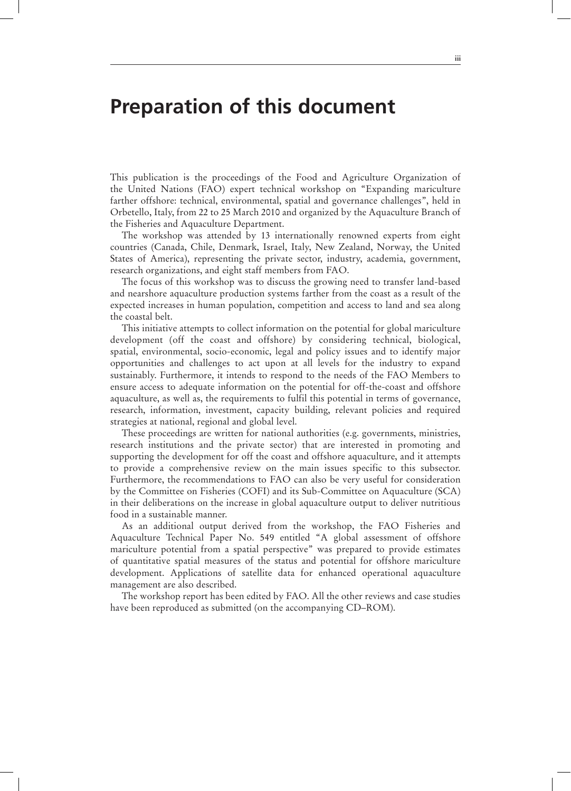#### **Preparation of this document**

This publication is the proceedings of the Food and Agriculture Organization of the United Nations (FAO) expert technical workshop on "Expanding mariculture farther offshore: technical, environmental, spatial and governance challenges", held in Orbetello, Italy, from 22 to 25 March 2010 and organized by the Aquaculture Branch of the Fisheries and Aquaculture Department.

The workshop was attended by 13 internationally renowned experts from eight countries (Canada, Chile, Denmark, Israel, Italy, New Zealand, Norway, the United States of America), representing the private sector, industry, academia, government, research organizations, and eight staff members from FAO.

The focus of this workshop was to discuss the growing need to transfer land-based and nearshore aquaculture production systems farther from the coast as a result of the expected increases in human population, competition and access to land and sea along the coastal belt.

This initiative attempts to collect information on the potential for global mariculture development (off the coast and offshore) by considering technical, biological, spatial, environmental, socio-economic, legal and policy issues and to identify major opportunities and challenges to act upon at all levels for the industry to expand sustainably. Furthermore, it intends to respond to the needs of the FAO Members to ensure access to adequate information on the potential for off-the-coast and offshore aquaculture, as well as, the requirements to fulfil this potential in terms of governance, research, information, investment, capacity building, relevant policies and required strategies at national, regional and global level.

These proceedings are written for national authorities (e.g. governments, ministries, research institutions and the private sector) that are interested in promoting and supporting the development for off the coast and offshore aquaculture, and it attempts to provide a comprehensive review on the main issues specific to this subsector. Furthermore, the recommendations to FAO can also be very useful for consideration by the Committee on Fisheries (COFI) and its Sub-Committee on Aquaculture (SCA) in their deliberations on the increase in global aquaculture output to deliver nutritious food in a sustainable manner.

As an additional output derived from the workshop, the FAO Fisheries and Aquaculture Technical Paper No. 549 entitled "A global assessment of offshore mariculture potential from a spatial perspective" was prepared to provide estimates of quantitative spatial measures of the status and potential for offshore mariculture development. Applications of satellite data for enhanced operational aquaculture management are also described.

The workshop report has been edited by FAO. All the other reviews and case studies have been reproduced as submitted (on the accompanying CD–ROM).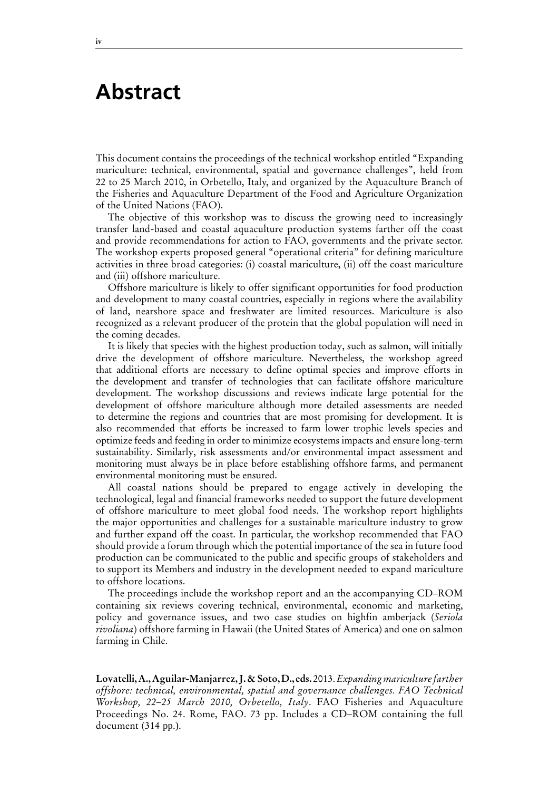#### **Abstract**

This document contains the proceedings of the technical workshop entitled "Expanding mariculture: technical, environmental, spatial and governance challenges", held from 22 to 25 March 2010, in Orbetello, Italy, and organized by the Aquaculture Branch of the Fisheries and Aquaculture Department of the Food and Agriculture Organization of the United Nations (FAO).

The objective of this workshop was to discuss the growing need to increasingly transfer land-based and coastal aquaculture production systems farther off the coast and provide recommendations for action to FAO, governments and the private sector. The workshop experts proposed general "operational criteria" for defining mariculture activities in three broad categories: (i) coastal mariculture, (ii) off the coast mariculture and (iii) offshore mariculture.

Offshore mariculture is likely to offer significant opportunities for food production and development to many coastal countries, especially in regions where the availability of land, nearshore space and freshwater are limited resources. Mariculture is also recognized as a relevant producer of the protein that the global population will need in the coming decades.

It is likely that species with the highest production today, such as salmon, will initially drive the development of offshore mariculture. Nevertheless, the workshop agreed that additional efforts are necessary to define optimal species and improve efforts in the development and transfer of technologies that can facilitate offshore mariculture development. The workshop discussions and reviews indicate large potential for the development of offshore mariculture although more detailed assessments are needed to determine the regions and countries that are most promising for development. It is also recommended that efforts be increased to farm lower trophic levels species and optimize feeds and feeding in order to minimize ecosystems impacts and ensure long-term sustainability. Similarly, risk assessments and/or environmental impact assessment and monitoring must always be in place before establishing offshore farms, and permanent environmental monitoring must be ensured.

All coastal nations should be prepared to engage actively in developing the technological, legal and financial frameworks needed to support the future development of offshore mariculture to meet global food needs. The workshop report highlights the major opportunities and challenges for a sustainable mariculture industry to grow and further expand off the coast. In particular, the workshop recommended that FAO should provide a forum through which the potential importance of the sea in future food production can be communicated to the public and specific groups of stakeholders and to support its Members and industry in the development needed to expand mariculture to offshore locations.

The proceedings include the workshop report and an the accompanying CD–ROM containing six reviews covering technical, environmental, economic and marketing, policy and governance issues, and two case studies on highfin amberjack (*Seriola rivoliana*) offshore farming in Hawaii (the United States of America) and one on salmon farming in Chile.

**Lovatelli, A., Aguilar-Manjarrez, J. & Soto, D., eds.** 2013. *Expanding mariculture farther offshore: technical, environmental, spatial and governance challenges. FAO Technical Workshop, 22–25 March 2010, Orbetello, Italy*. FAO Fisheries and Aquaculture Proceedings No. 24. Rome, FAO. 73 pp. Includes a CD–ROM containing the full document (314 pp.).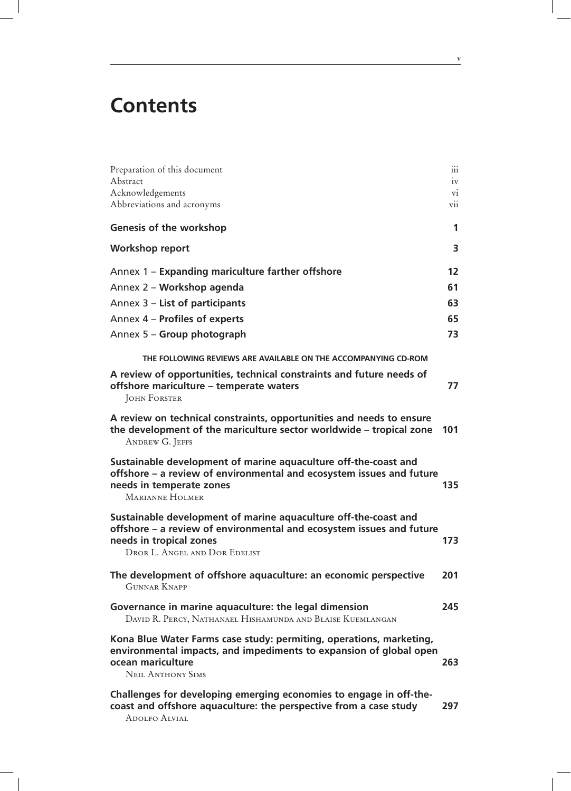### **Contents**

| Preparation of this document<br>Abstract                                                                                                                                                            | $\dddot{1}$<br>iv                                   |
|-----------------------------------------------------------------------------------------------------------------------------------------------------------------------------------------------------|-----------------------------------------------------|
| Acknowledgements<br>Abbreviations and acronyms                                                                                                                                                      | $\overline{\mathrm{vi}}$<br>$\overline{\text{vii}}$ |
| <b>Genesis of the workshop</b>                                                                                                                                                                      | 1                                                   |
| Workshop report                                                                                                                                                                                     | 3                                                   |
| Annex 1 – Expanding mariculture farther offshore                                                                                                                                                    | 12                                                  |
| Annex 2 - Workshop agenda                                                                                                                                                                           | 61                                                  |
| Annex 3 – List of participants                                                                                                                                                                      | 63                                                  |
| Annex 4 - Profiles of experts                                                                                                                                                                       | 65                                                  |
| Annex 5 - Group photograph                                                                                                                                                                          | 73                                                  |
| THE FOLLOWING REVIEWS ARE AVAILABLE ON THE ACCOMPANYING CD-ROM                                                                                                                                      |                                                     |
| A review of opportunities, technical constraints and future needs of<br>offshore mariculture – temperate waters<br><b>JOHN FORSTER</b>                                                              | 77                                                  |
| A review on technical constraints, opportunities and needs to ensure<br>the development of the mariculture sector worldwide – tropical zone<br><b>ANDREW G. JEFFS</b>                               | 101                                                 |
| Sustainable development of marine aquaculture off-the-coast and<br>offshore - a review of environmental and ecosystem issues and future<br>needs in temperate zones<br><b>MARIANNE HOLMER</b>       | 135                                                 |
| Sustainable development of marine aquaculture off-the-coast and<br>offshore – a review of environmental and ecosystem issues and future<br>needs in tropical zones<br>DROR L. ANGEL AND DOR EDELIST | 173                                                 |
| The development of offshore aquaculture: an economic perspective<br><b>GUNNAR KNAPP</b>                                                                                                             | 201                                                 |
| Governance in marine aquaculture: the legal dimension<br>DAVID R. PERCY, NATHANAEL HISHAMUNDA AND BLAISE KUEMLANGAN                                                                                 | 245                                                 |
| Kona Blue Water Farms case study: permiting, operations, marketing,<br>environmental impacts, and impediments to expansion of global open<br>ocean mariculture<br><b>NEIL ANTHONY SIMS</b>          | 263                                                 |
| Challenges for developing emerging economies to engage in off-the-<br>coast and offshore aquaculture: the perspective from a case study<br><b>ADOLFO ALVIAL</b>                                     | 297                                                 |

**v**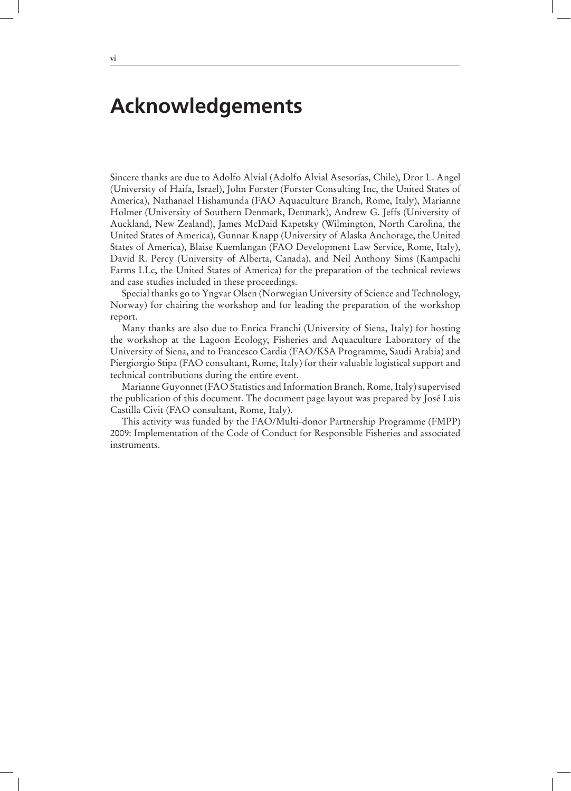### **Acknowledgements**

Sincere thanks are due to Adolfo Alvial (Adolfo Alvial Asesorías, Chile), Dror L. Angel (University of Haifa, Israel), John Forster (Forster Consulting Inc, the United States of America), Nathanael Hishamunda (FAO Aquaculture Branch, Rome, Italy), Marianne Holmer (University of Southern Denmark, Denmark), Andrew G. Jeffs (University of Auckland, New Zealand), James McDaid Kapetsky (Wilmington, North Carolina, the United States of America), Gunnar Knapp (University of Alaska Anchorage, the United States of America), Blaise Kuemlangan (FAO Development Law Service, Rome, Italy), David R. Percy (University of Alberta, Canada), and Neil Anthony Sims (Kampachi Farms LLc, the United States of America) for the preparation of the technical reviews and case studies included in these proceedings.

Special thanks go to Yngvar Olsen (Norwegian University of Science and Technology, Norway) for chairing the workshop and for leading the preparation of the workshop report.

Many thanks are also due to Enrica Franchi (University of Siena, Italy) for hosting the workshop at the Lagoon Ecology, Fisheries and Aquaculture Laboratory of the University of Siena, and to Francesco Cardia (FAO/KSA Programme, Saudi Arabia) and Piergiorgio Stipa (FAO consultant, Rome, Italy) for their valuable logistical support and technical contributions during the entire event.

Marianne Guyonnet (FAO Statistics and Information Branch, Rome, Italy) supervised the publication of this document. The document page layout was prepared by José Luis Castilla Civit (FAO consultant, Rome, Italy).

This activity was funded by the FAO/Multi-donor Partnership Programme (FMPP) 2009: Implementation of the Code of Conduct for Responsible Fisheries and associated instruments.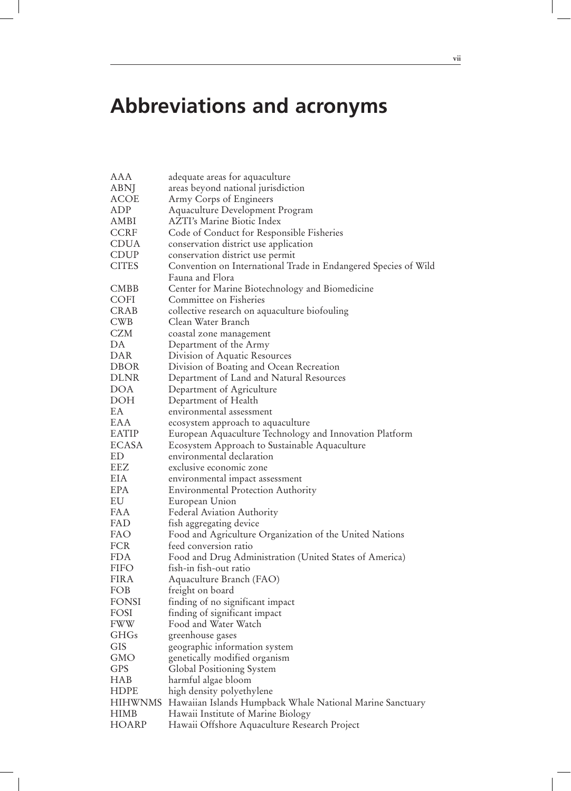### **Abbreviations and acronyms**

| AAA          | adequate areas for aquaculture                                  |
|--------------|-----------------------------------------------------------------|
| <b>ABNJ</b>  | areas beyond national jurisdiction                              |
| <b>ACOE</b>  | Army Corps of Engineers                                         |
| ADP          | Aquaculture Development Program                                 |
| AMBI         | <b>AZTI's Marine Biotic Index</b>                               |
| <b>CCRF</b>  | Code of Conduct for Responsible Fisheries                       |
| <b>CDUA</b>  | conservation district use application                           |
| <b>CDUP</b>  | conservation district use permit                                |
| <b>CITES</b> | Convention on International Trade in Endangered Species of Wild |
|              | Fauna and Flora                                                 |
| <b>CMBB</b>  | Center for Marine Biotechnology and Biomedicine                 |
| COFI         | Committee on Fisheries                                          |
| <b>CRAB</b>  | collective research on aquaculture biofouling                   |
| <b>CWB</b>   | Clean Water Branch                                              |
| CZM          | coastal zone management                                         |
| DA           | Department of the Army                                          |
| DAR          | Division of Aquatic Resources                                   |
| <b>DBOR</b>  | Division of Boating and Ocean Recreation                        |
| <b>DLNR</b>  | Department of Land and Natural Resources                        |
| <b>DOA</b>   | Department of Agriculture                                       |
| <b>DOH</b>   | Department of Health                                            |
| EA           | environmental assessment                                        |
| EAA          | ecosystem approach to aquaculture                               |
| <b>EATIP</b> | European Aquaculture Technology and Innovation Platform         |
| <b>ECASA</b> | Ecosystem Approach to Sustainable Aquaculture                   |
| ED           | environmental declaration                                       |
| EEZ          | exclusive economic zone                                         |
| EIA          | environmental impact assessment                                 |
| <b>EPA</b>   | <b>Environmental Protection Authority</b>                       |
| EU           | European Union                                                  |
| FAA          | Federal Aviation Authority                                      |
| FAD          | fish aggregating device                                         |
| FAO          | Food and Agriculture Organization of the United Nations         |
| FCR          | feed conversion ratio                                           |
| <b>FDA</b>   | Food and Drug Administration (United States of America)         |
| FIFO         | fısh-ın fısh-out ratıo                                          |
| <b>FIRA</b>  | Aquaculture Branch (FAO)                                        |
| FOB          | freight on board                                                |
| <b>FONSI</b> | finding of no significant impact                                |
| FOSI         | finding of significant impact                                   |
| <b>FWW</b>   | Food and Water Watch                                            |
| <b>GHGs</b>  | greenhouse gases                                                |
| <b>GIS</b>   | geographic information system                                   |
| <b>GMO</b>   |                                                                 |
|              | genetically modified organism                                   |
| <b>GPS</b>   | Global Positioning System                                       |
| <b>HAB</b>   | harmful algae bloom                                             |
| <b>HDPE</b>  | high density polyethylene                                       |
| HIHWNMS      | Hawaiian Islands Humpback Whale National Marine Sanctuary       |
| <b>HIMB</b>  | Hawaii Institute of Marine Biology                              |
| HOARP        | Hawaii Offshore Aquaculture Research Project                    |